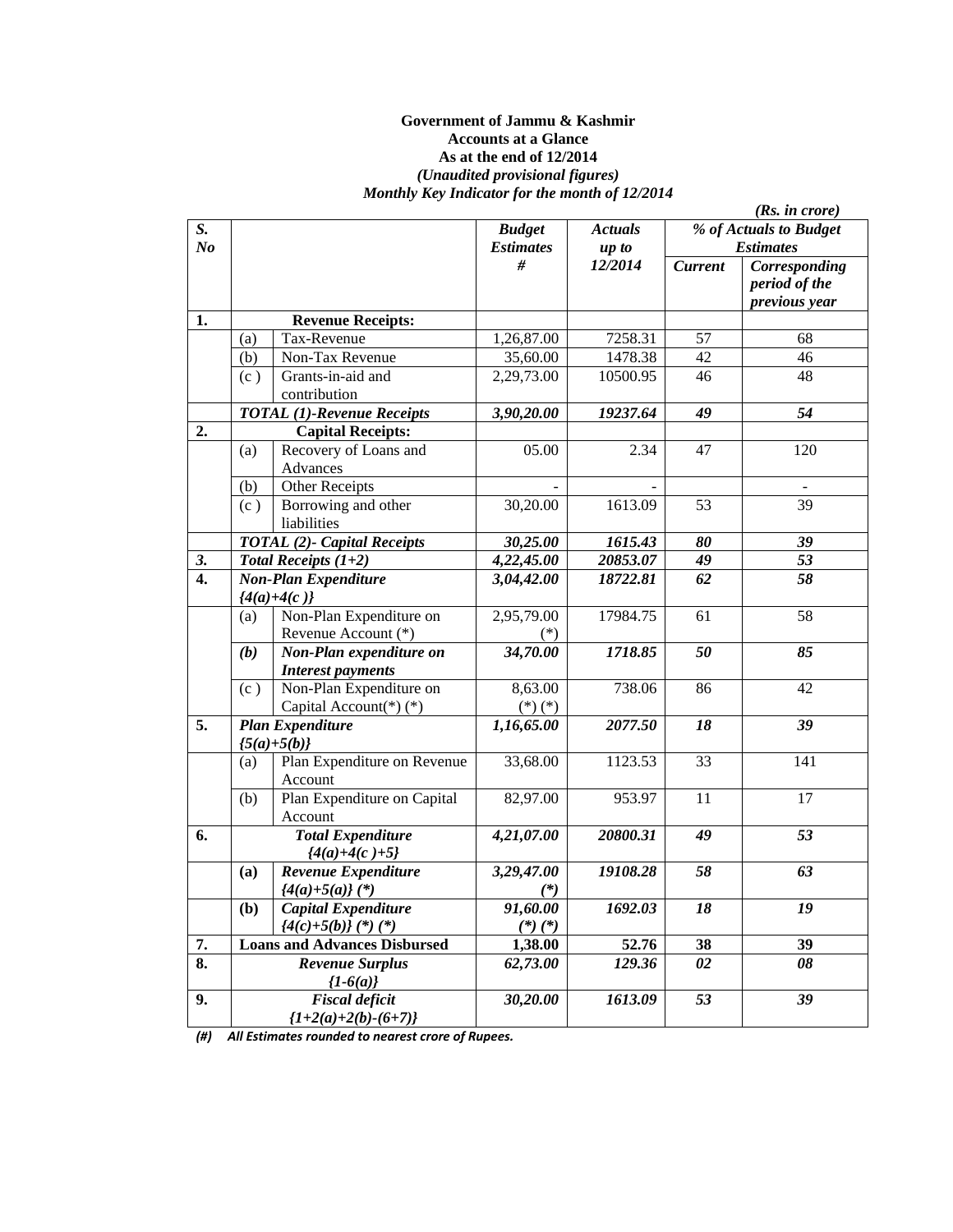#### **Government of Jammu & Kashmir Accounts at a Glance As at the end of 12/2014**  *(Unaudited provisional figures) Monthly Key Indicator for the month of 12/2014*

|                  |     |                                                       |                         |                | (Rs. in <i>core</i> ) |                                                 |  |
|------------------|-----|-------------------------------------------------------|-------------------------|----------------|-----------------------|-------------------------------------------------|--|
| S.               |     |                                                       | <b>Budget</b>           | <b>Actuals</b> |                       | % of Actuals to Budget                          |  |
| N <sub>o</sub>   |     |                                                       | <b>Estimates</b>        | up to          |                       | <b>Estimates</b>                                |  |
|                  |     |                                                       | #                       | 12/2014        | <b>Current</b>        | Corresponding<br>period of the<br>previous year |  |
| 1.               |     | <b>Revenue Receipts:</b>                              |                         |                |                       |                                                 |  |
|                  | (a) | Tax-Revenue                                           | 1,26,87.00              | 7258.31        | 57                    | 68                                              |  |
|                  | (b) | Non-Tax Revenue                                       | 35,60.00                | 1478.38        | 42                    | 46                                              |  |
|                  | (c) | Grants-in-aid and<br>contribution                     | 2,29,73.00              | 10500.95       | 46                    | 48                                              |  |
|                  |     | <b>TOTAL</b> (1)-Revenue Receipts                     | 3,90,20.00              | 19237.64       | 49                    | 54                                              |  |
| 2.               |     | <b>Capital Receipts:</b>                              |                         |                |                       |                                                 |  |
|                  | (a) | Recovery of Loans and<br>Advances                     | 05.00                   | 2.34           | 47                    | 120                                             |  |
|                  | (b) | <b>Other Receipts</b>                                 |                         |                |                       |                                                 |  |
|                  | (c) | Borrowing and other<br>liabilities                    | 30,20.00                | 1613.09        | 53                    | 39                                              |  |
|                  |     | <b>TOTAL</b> (2)- Capital Receipts                    | 30,25.00                | 1615.43        | 80                    | 39                                              |  |
| 3.               |     | Total Receipts $(1+2)$                                | 4,22,45.00              | 20853.07       | 49                    | 53                                              |  |
| $\overline{4}$ . |     | <b>Non-Plan Expenditure</b><br>${4(a)+4(c)}$          | 3,04,42.00              | 18722.81       | 62                    | 58                                              |  |
|                  | (a) | Non-Plan Expenditure on<br>Revenue Account (*)        | 2,95,79.00              | 17984.75       | 61                    | 58                                              |  |
|                  | (b) | Non-Plan expenditure on<br><b>Interest payments</b>   | 34,70.00                | 1718.85        | 50                    | 85                                              |  |
|                  | (c) | Non-Plan Expenditure on<br>Capital Account(*)(*)      | 8,63.00<br>$(*) (*)$    | 738.06         | 86                    | 42                                              |  |
| 5.               |     | <b>Plan Expenditure</b><br>${5(a)+5(b)}$              | 1,16,65.00              | 2077.50        | 18                    | 39                                              |  |
|                  | (a) | Plan Expenditure on Revenue<br>Account                | 33,68.00                | 1123.53        | 33                    | 141                                             |  |
|                  | (b) | Plan Expenditure on Capital<br>Account                | 82,97.00                | 953.97         | 11                    | 17                                              |  |
| 6.               |     | <b>Total Expenditure</b><br>${4(a)+4(c)+5}$           | 4,21,07.00              | 20800.31       | 49                    | 53                                              |  |
|                  | (a) | Revenue Expenditure<br>$\{4(a)+5(a)\}$ (*)            | 3,29,47.00<br>$(*)$     | 19108.28       | 58                    | 63                                              |  |
|                  | (b) | <b>Capital Expenditure</b><br>$\{4(c)+5(b)\}$ (*) (*) | 91,60.00<br>$(*)$ $(*)$ | 1692.03        | 18                    | 19                                              |  |
| 7.               |     | <b>Loans and Advances Disbursed</b>                   | 1,38.00                 | 52.76          | 38                    | 39                                              |  |
| 8.               |     | <b>Revenue Surplus</b><br>${1-6(a)}$                  | 62,73.00                | 129.36         | 02                    | 08                                              |  |
| 9.               |     | <b>Fiscal deficit</b><br>${1+2(a)+2(b)-(6+7)}$        | 30,20.00                | 1613.09        | 53                    | 39                                              |  |

*(#) All Estimates rounded to nearest crore of Rupees.*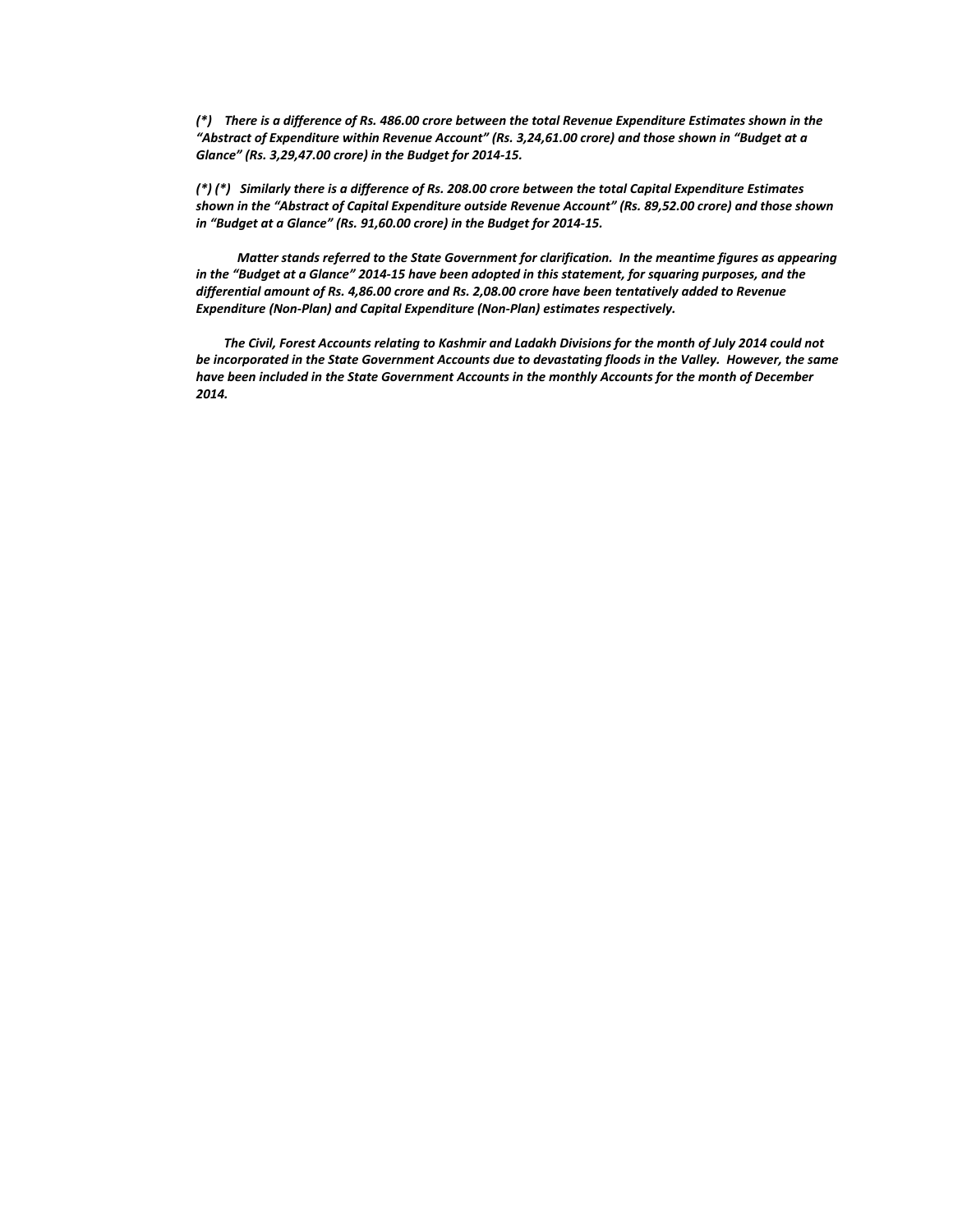(\*) There is a difference of Rs. 486.00 crore between the total Revenue Expenditure Estimates shown in the *"Abstract of Expenditure within Revenue Account" (Rs. 3,24,61.00 crore) and those shown in "Budget at a Glance" (Rs. 3,29,47.00 crore) in the Budget for 2014‐15.*

(\*) (\*) Similarly there is a difference of Rs. 208.00 crore between the total Capital Expenditure Estimates *shown in the "Abstract of Capital Expenditure outside Revenue Account" (Rs. 89,52.00 crore) and those shown in "Budget at a Glance" (Rs. 91,60.00 crore) in the Budget for 2014‐15.*

Matter stands referred to the State Government for clarification. In the meantime figures as appearing in the "Budget at a Glance" 2014-15 have been adopted in this statement, for squaring purposes, and the *differential amount of Rs. 4,86.00 crore and Rs. 2,08.00 crore have been tentatively added to Revenue Expenditure (Non‐Plan) and Capital Expenditure (Non‐Plan) estimates respectively.*

The Civil, Forest Accounts relating to Kashmir and Ladakh Divisions for the month of July 2014 could not be incorporated in the State Government Accounts due to devastating floods in the Valley. However, the same *have been included in the State Government Accounts in the monthly Accounts for the month of December 2014.*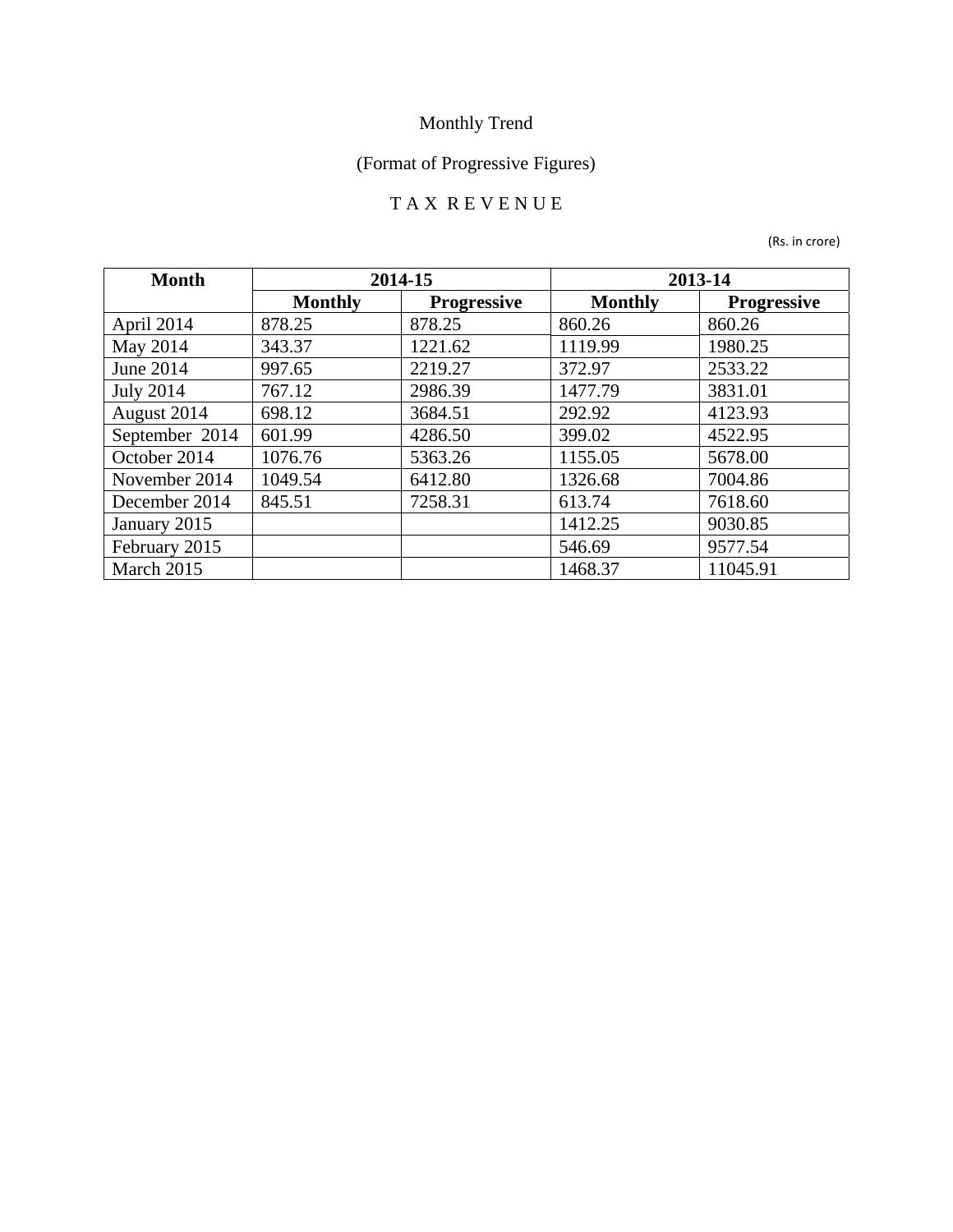# (Format of Progressive Figures)

### T A X R E V E N U E

| <b>Month</b>     |                | 2014-15            |                | 2013-14            |
|------------------|----------------|--------------------|----------------|--------------------|
|                  | <b>Monthly</b> | <b>Progressive</b> | <b>Monthly</b> | <b>Progressive</b> |
| April 2014       | 878.25         | 878.25             | 860.26         | 860.26             |
| May 2014         | 343.37         | 1221.62            | 1119.99        | 1980.25            |
| <b>June 2014</b> | 997.65         | 2219.27            | 372.97         | 2533.22            |
| <b>July 2014</b> | 767.12         | 2986.39            | 1477.79        | 3831.01            |
| August 2014      | 698.12         | 3684.51            | 292.92         | 4123.93            |
| September 2014   | 601.99         | 4286.50            | 399.02         | 4522.95            |
| October 2014     | 1076.76        | 5363.26            | 1155.05        | 5678.00            |
| November 2014    | 1049.54        | 6412.80            | 1326.68        | 7004.86            |
| December 2014    | 845.51         | 7258.31            | 613.74         | 7618.60            |
| January 2015     |                |                    | 1412.25        | 9030.85            |
| February 2015    |                |                    | 546.69         | 9577.54            |
| March 2015       |                |                    | 1468.37        | 11045.91           |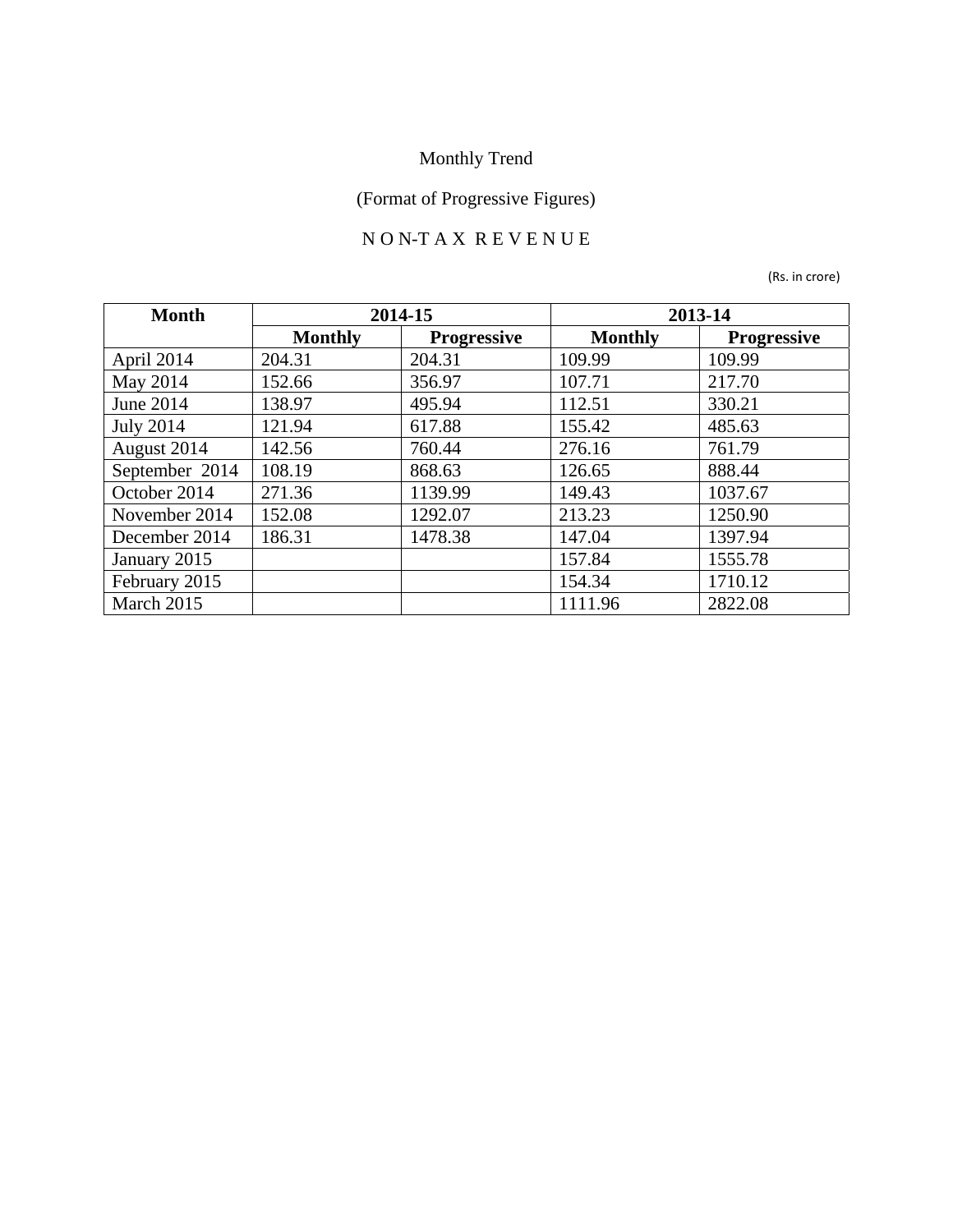## (Format of Progressive Figures)

### N O N-T A X R E V E N U E

| <b>Month</b>     |                | 2014-15            | 2013-14        |                    |
|------------------|----------------|--------------------|----------------|--------------------|
|                  | <b>Monthly</b> | <b>Progressive</b> | <b>Monthly</b> | <b>Progressive</b> |
| April 2014       | 204.31         | 204.31             | 109.99         | 109.99             |
| May 2014         | 152.66         | 356.97             | 107.71         | 217.70             |
| June 2014        | 138.97         | 495.94             | 112.51         | 330.21             |
| <b>July 2014</b> | 121.94         | 617.88             | 155.42         | 485.63             |
| August 2014      | 142.56         | 760.44             | 276.16         | 761.79             |
| September 2014   | 108.19         | 868.63             | 126.65         | 888.44             |
| October 2014     | 271.36         | 1139.99            | 149.43         | 1037.67            |
| November 2014    | 152.08         | 1292.07            | 213.23         | 1250.90            |
| December 2014    | 186.31         | 1478.38            | 147.04         | 1397.94            |
| January 2015     |                |                    | 157.84         | 1555.78            |
| February 2015    |                |                    | 154.34         | 1710.12            |
| March 2015       |                |                    | 1111.96        | 2822.08            |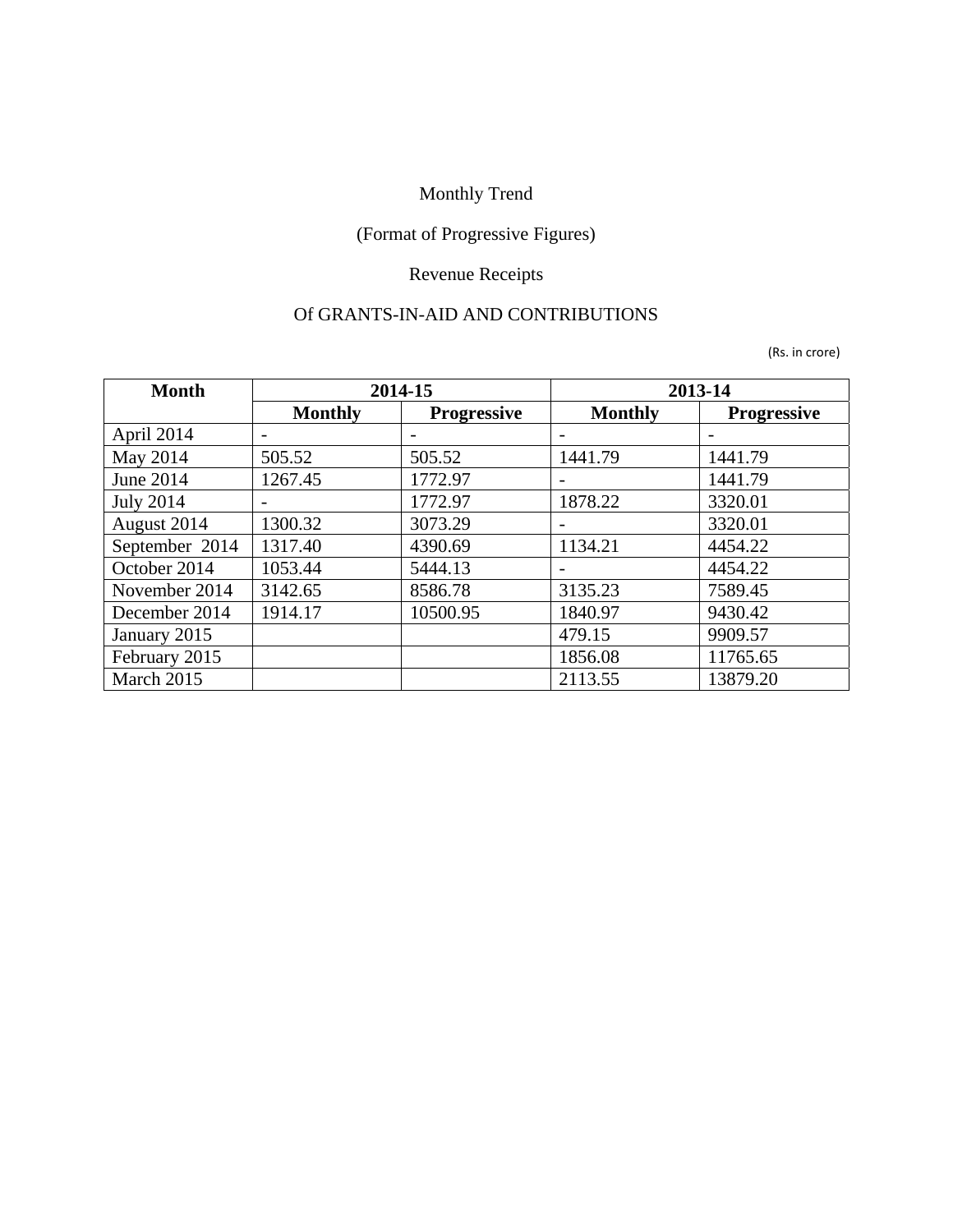## (Format of Progressive Figures)

#### Revenue Receipts

#### Of GRANTS-IN-AID AND CONTRIBUTIONS

| <b>Month</b>     |                | 2014-15            |                | 2013-14            |
|------------------|----------------|--------------------|----------------|--------------------|
|                  | <b>Monthly</b> | <b>Progressive</b> | <b>Monthly</b> | <b>Progressive</b> |
| April 2014       |                |                    |                |                    |
| May 2014         | 505.52         | 505.52             | 1441.79        | 1441.79            |
| June 2014        | 1267.45        | 1772.97            |                | 1441.79            |
| <b>July 2014</b> |                | 1772.97            | 1878.22        | 3320.01            |
| August 2014      | 1300.32        | 3073.29            |                | 3320.01            |
| September 2014   | 1317.40        | 4390.69            | 1134.21        | 4454.22            |
| October 2014     | 1053.44        | 5444.13            |                | 4454.22            |
| November 2014    | 3142.65        | 8586.78            | 3135.23        | 7589.45            |
| December 2014    | 1914.17        | 10500.95           | 1840.97        | 9430.42            |
| January 2015     |                |                    | 479.15         | 9909.57            |
| February 2015    |                |                    | 1856.08        | 11765.65           |
| March 2015       |                |                    | 2113.55        | 13879.20           |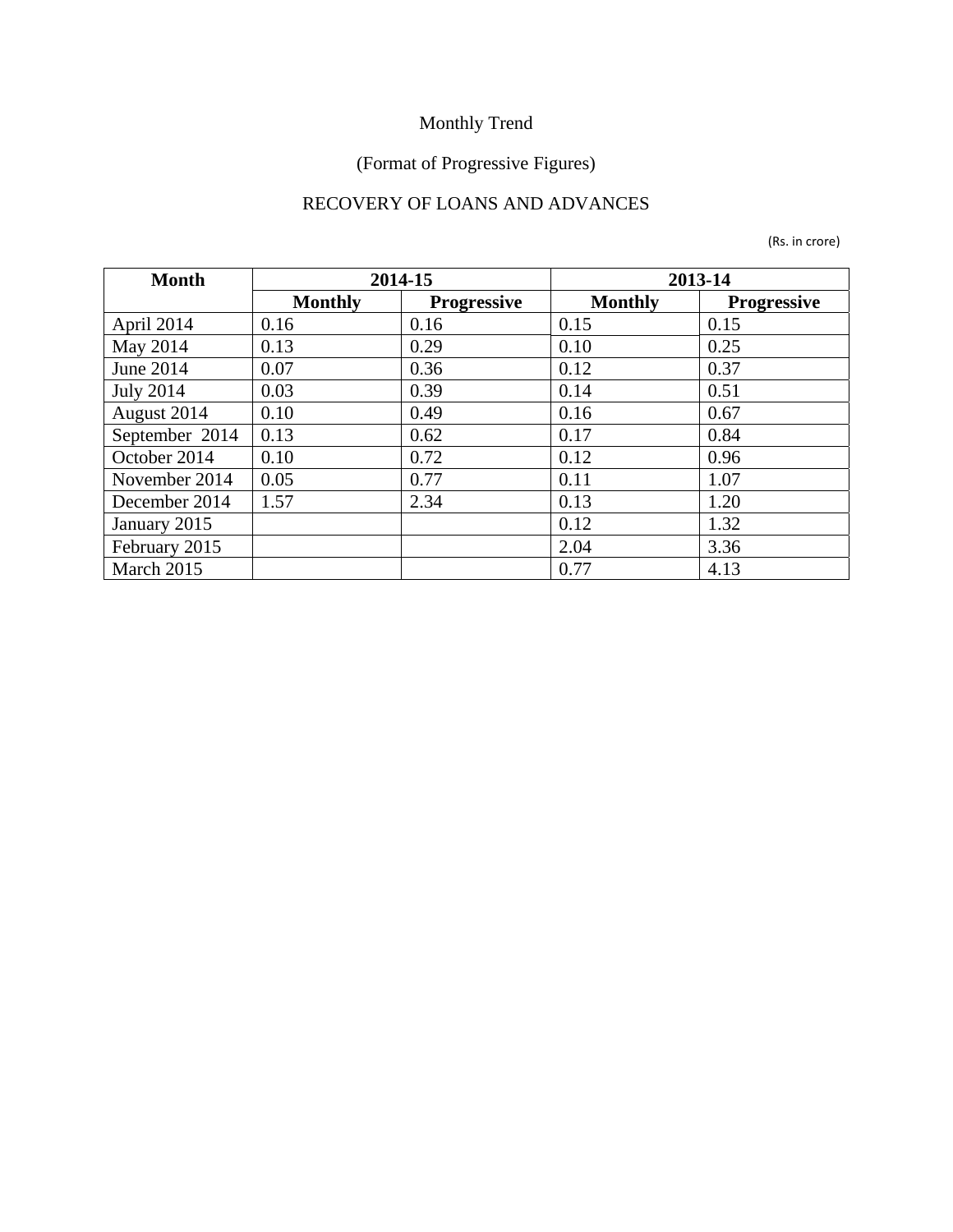#### (Format of Progressive Figures)

### RECOVERY OF LOANS AND ADVANCES

| <b>Month</b>     |                | 2014-15            | 2013-14        |                    |
|------------------|----------------|--------------------|----------------|--------------------|
|                  | <b>Monthly</b> | <b>Progressive</b> | <b>Monthly</b> | <b>Progressive</b> |
| April 2014       | 0.16           | 0.16               | 0.15           | 0.15               |
| May 2014         | 0.13           | 0.29               | 0.10           | 0.25               |
| June 2014        | 0.07           | 0.36               | 0.12           | 0.37               |
| <b>July 2014</b> | 0.03           | 0.39               | 0.14           | 0.51               |
| August 2014      | 0.10           | 0.49               | 0.16           | 0.67               |
| September 2014   | 0.13           | 0.62               | 0.17           | 0.84               |
| October 2014     | 0.10           | 0.72               | 0.12           | 0.96               |
| November 2014    | 0.05           | 0.77               | 0.11           | 1.07               |
| December 2014    | 1.57           | 2.34               | 0.13           | 1.20               |
| January 2015     |                |                    | 0.12           | 1.32               |
| February 2015    |                |                    | 2.04           | 3.36               |
| March 2015       |                |                    | 0.77           | 4.13               |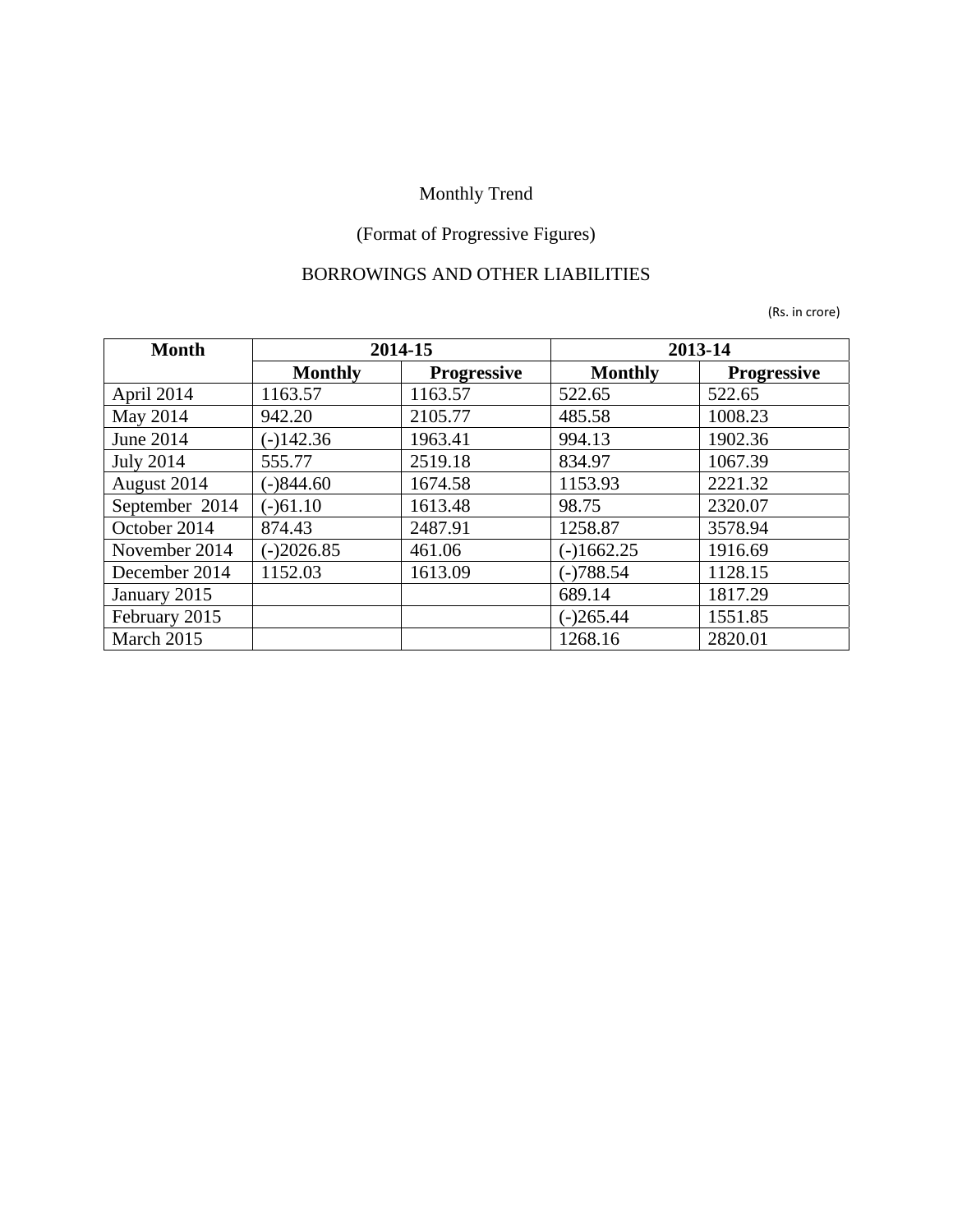## (Format of Progressive Figures)

#### BORROWINGS AND OTHER LIABILITIES

| <b>Month</b>     |                | 2014-15            | 2013-14        |                    |
|------------------|----------------|--------------------|----------------|--------------------|
|                  | <b>Monthly</b> | <b>Progressive</b> | <b>Monthly</b> | <b>Progressive</b> |
| April 2014       | 1163.57        | 1163.57            | 522.65         | 522.65             |
| May 2014         | 942.20         | 2105.77            | 485.58         | 1008.23            |
| June 2014        | $(-)142.36$    | 1963.41            | 994.13         | 1902.36            |
| <b>July 2014</b> | 555.77         | 2519.18            | 834.97         | 1067.39            |
| August 2014      | $(-)844.60$    | 1674.58            | 1153.93        | 2221.32            |
| September 2014   | $(-)61.10$     | 1613.48            | 98.75          | 2320.07            |
| October 2014     | 874.43         | 2487.91            | 1258.87        | 3578.94            |
| November 2014    | $(-)2026.85$   | 461.06             | $(-)1662.25$   | 1916.69            |
| December 2014    | 1152.03        | 1613.09            | $(-)788.54$    | 1128.15            |
| January 2015     |                |                    | 689.14         | 1817.29            |
| February 2015    |                |                    | $(-)265.44$    | 1551.85            |
| March 2015       |                |                    | 1268.16        | 2820.01            |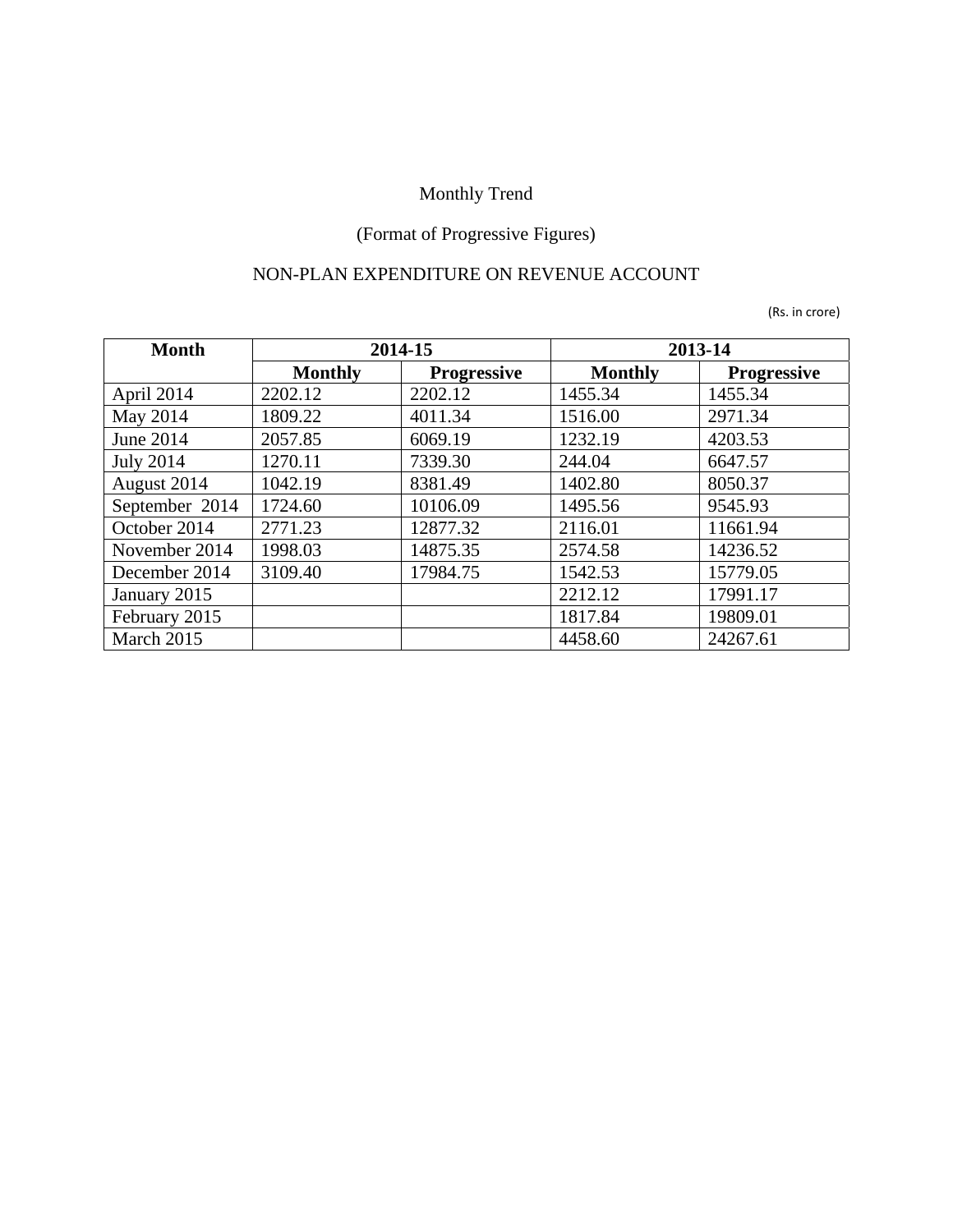## (Format of Progressive Figures)

#### NON-PLAN EXPENDITURE ON REVENUE ACCOUNT

| <b>Month</b>     |                | 2014-15            | 2013-14        |                    |
|------------------|----------------|--------------------|----------------|--------------------|
|                  | <b>Monthly</b> | <b>Progressive</b> | <b>Monthly</b> | <b>Progressive</b> |
| April 2014       | 2202.12        | 2202.12            | 1455.34        | 1455.34            |
| May 2014         | 1809.22        | 4011.34            | 1516.00        | 2971.34            |
| June 2014        | 2057.85        | 6069.19            | 1232.19        | 4203.53            |
| <b>July 2014</b> | 1270.11        | 7339.30            | 244.04         | 6647.57            |
| August 2014      | 1042.19        | 8381.49            | 1402.80        | 8050.37            |
| September 2014   | 1724.60        | 10106.09           | 1495.56        | 9545.93            |
| October 2014     | 2771.23        | 12877.32           | 2116.01        | 11661.94           |
| November 2014    | 1998.03        | 14875.35           | 2574.58        | 14236.52           |
| December 2014    | 3109.40        | 17984.75           | 1542.53        | 15779.05           |
| January 2015     |                |                    | 2212.12        | 17991.17           |
| February 2015    |                |                    | 1817.84        | 19809.01           |
| March 2015       |                |                    | 4458.60        | 24267.61           |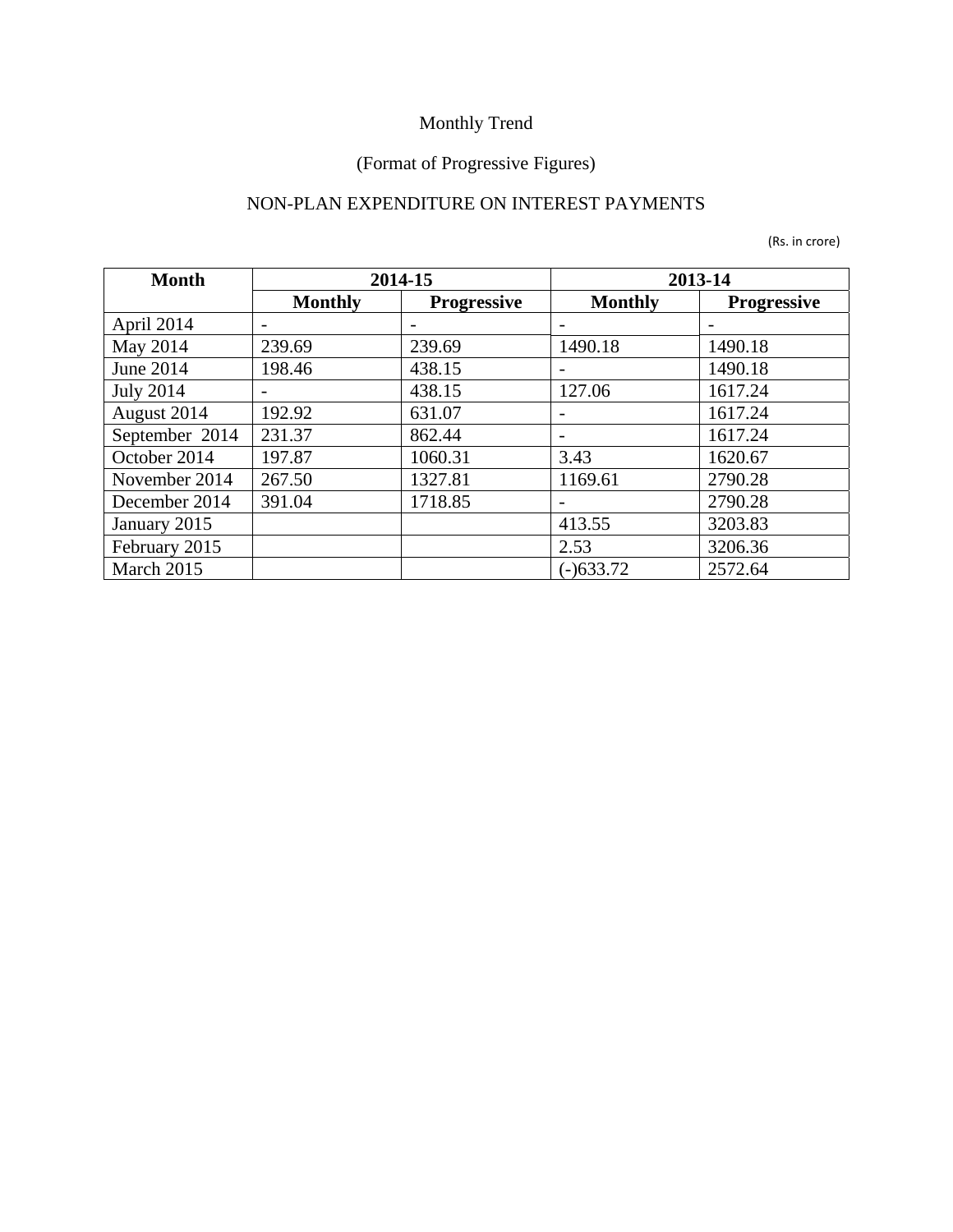#### (Format of Progressive Figures)

### NON-PLAN EXPENDITURE ON INTEREST PAYMENTS

| <b>Month</b>     |                | 2014-15            |                          | 2013-14            |
|------------------|----------------|--------------------|--------------------------|--------------------|
|                  | <b>Monthly</b> | <b>Progressive</b> | <b>Monthly</b>           | <b>Progressive</b> |
| April 2014       |                |                    |                          |                    |
| May 2014         | 239.69         | 239.69             | 1490.18                  | 1490.18            |
| June 2014        | 198.46         | 438.15             |                          | 1490.18            |
| <b>July 2014</b> |                | 438.15             | 127.06                   | 1617.24            |
| August 2014      | 192.92         | 631.07             | $\overline{\phantom{0}}$ | 1617.24            |
| September 2014   | 231.37         | 862.44             |                          | 1617.24            |
| October 2014     | 197.87         | 1060.31            | 3.43                     | 1620.67            |
| November 2014    | 267.50         | 1327.81            | 1169.61                  | 2790.28            |
| December 2014    | 391.04         | 1718.85            |                          | 2790.28            |
| January 2015     |                |                    | 413.55                   | 3203.83            |
| February 2015    |                |                    | 2.53                     | 3206.36            |
| March 2015       |                |                    | $(-)633.72$              | 2572.64            |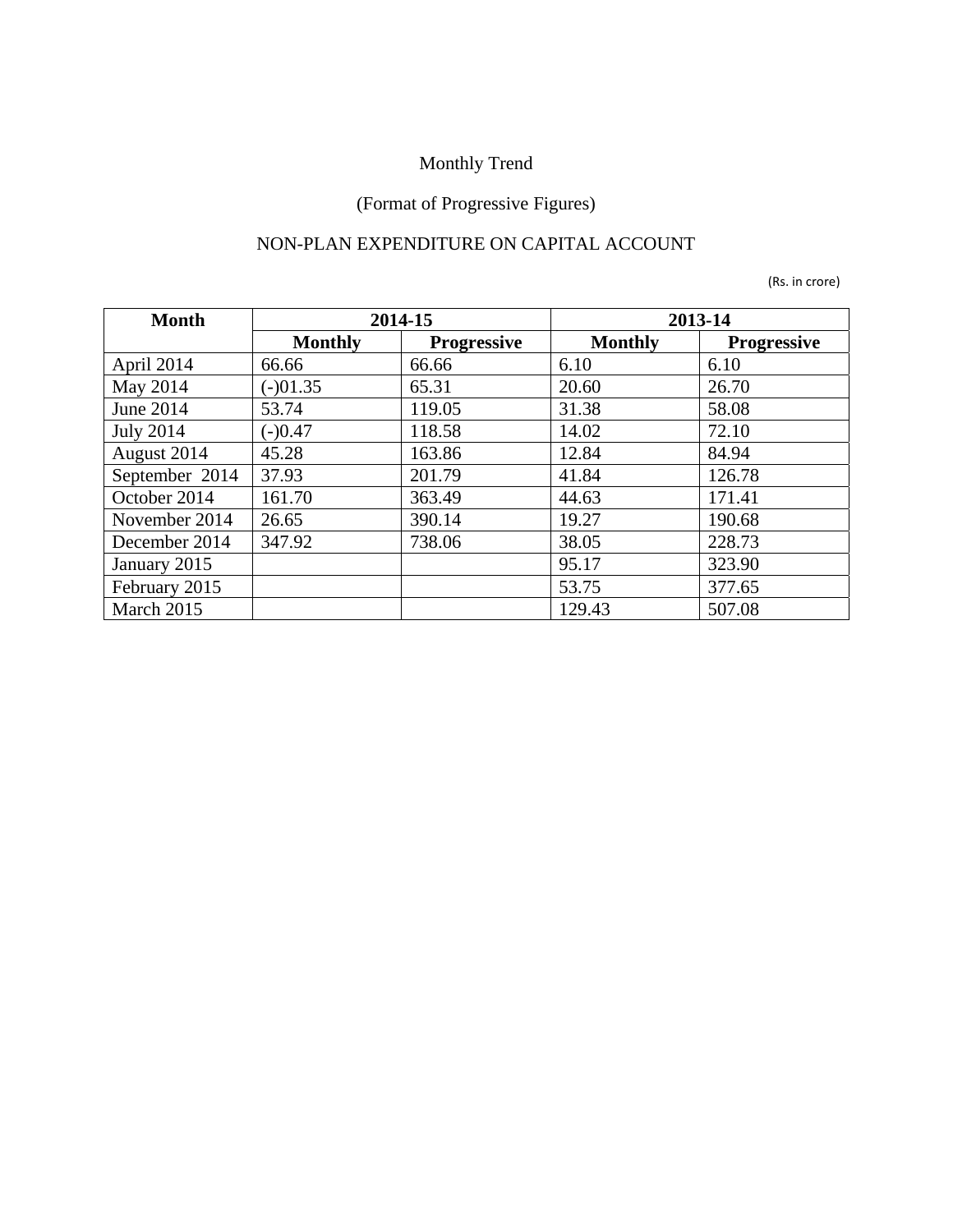## (Format of Progressive Figures)

### NON-PLAN EXPENDITURE ON CAPITAL ACCOUNT

| <b>Month</b>     |                | 2014-15            |                | 2013-14            |
|------------------|----------------|--------------------|----------------|--------------------|
|                  | <b>Monthly</b> | <b>Progressive</b> | <b>Monthly</b> | <b>Progressive</b> |
| April 2014       | 66.66          | 66.66              | 6.10           | 6.10               |
| May 2014         | $(-)01.35$     | 65.31              | 20.60          | 26.70              |
| June 2014        | 53.74          | 119.05             | 31.38          | 58.08              |
| <b>July 2014</b> | $(-)0.47$      | 118.58             | 14.02          | 72.10              |
| August 2014      | 45.28          | 163.86             | 12.84          | 84.94              |
| September 2014   | 37.93          | 201.79             | 41.84          | 126.78             |
| October 2014     | 161.70         | 363.49             | 44.63          | 171.41             |
| November 2014    | 26.65          | 390.14             | 19.27          | 190.68             |
| December 2014    | 347.92         | 738.06             | 38.05          | 228.73             |
| January 2015     |                |                    | 95.17          | 323.90             |
| February 2015    |                |                    | 53.75          | 377.65             |
| March 2015       |                |                    | 129.43         | 507.08             |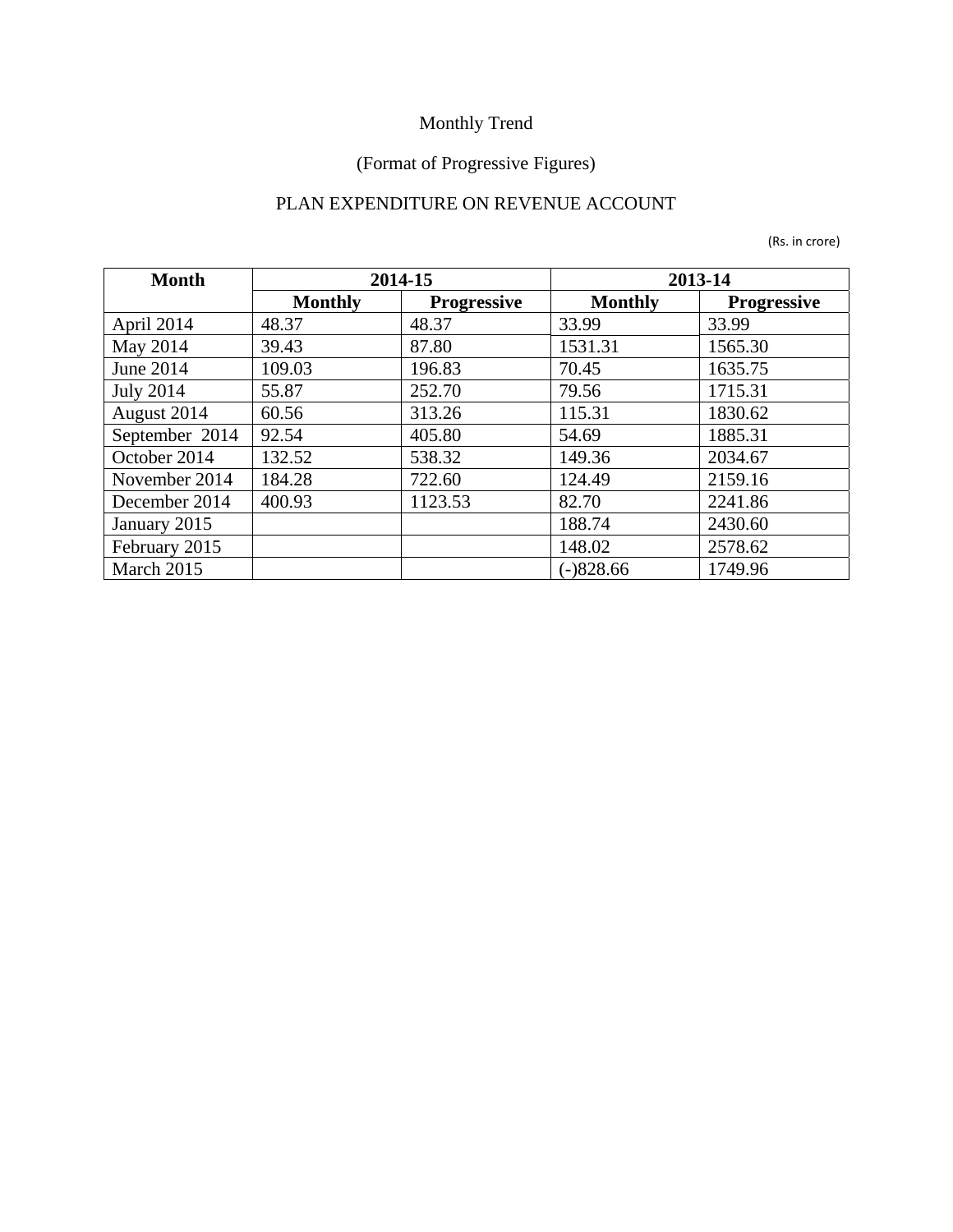## (Format of Progressive Figures)

#### PLAN EXPENDITURE ON REVENUE ACCOUNT

| <b>Month</b>     |                | 2014-15            | 2013-14        |                    |
|------------------|----------------|--------------------|----------------|--------------------|
|                  | <b>Monthly</b> | <b>Progressive</b> | <b>Monthly</b> | <b>Progressive</b> |
| April 2014       | 48.37          | 48.37              | 33.99          | 33.99              |
| May 2014         | 39.43          | 87.80              | 1531.31        | 1565.30            |
| June 2014        | 109.03         | 196.83             | 70.45          | 1635.75            |
| <b>July 2014</b> | 55.87          | 252.70             | 79.56          | 1715.31            |
| August 2014      | 60.56          | 313.26             | 115.31         | 1830.62            |
| September 2014   | 92.54          | 405.80             | 54.69          | 1885.31            |
| October 2014     | 132.52         | 538.32             | 149.36         | 2034.67            |
| November 2014    | 184.28         | 722.60             | 124.49         | 2159.16            |
| December 2014    | 400.93         | 1123.53            | 82.70          | 2241.86            |
| January 2015     |                |                    | 188.74         | 2430.60            |
| February 2015    |                |                    | 148.02         | 2578.62            |
| March 2015       |                |                    | $(-)828.66$    | 1749.96            |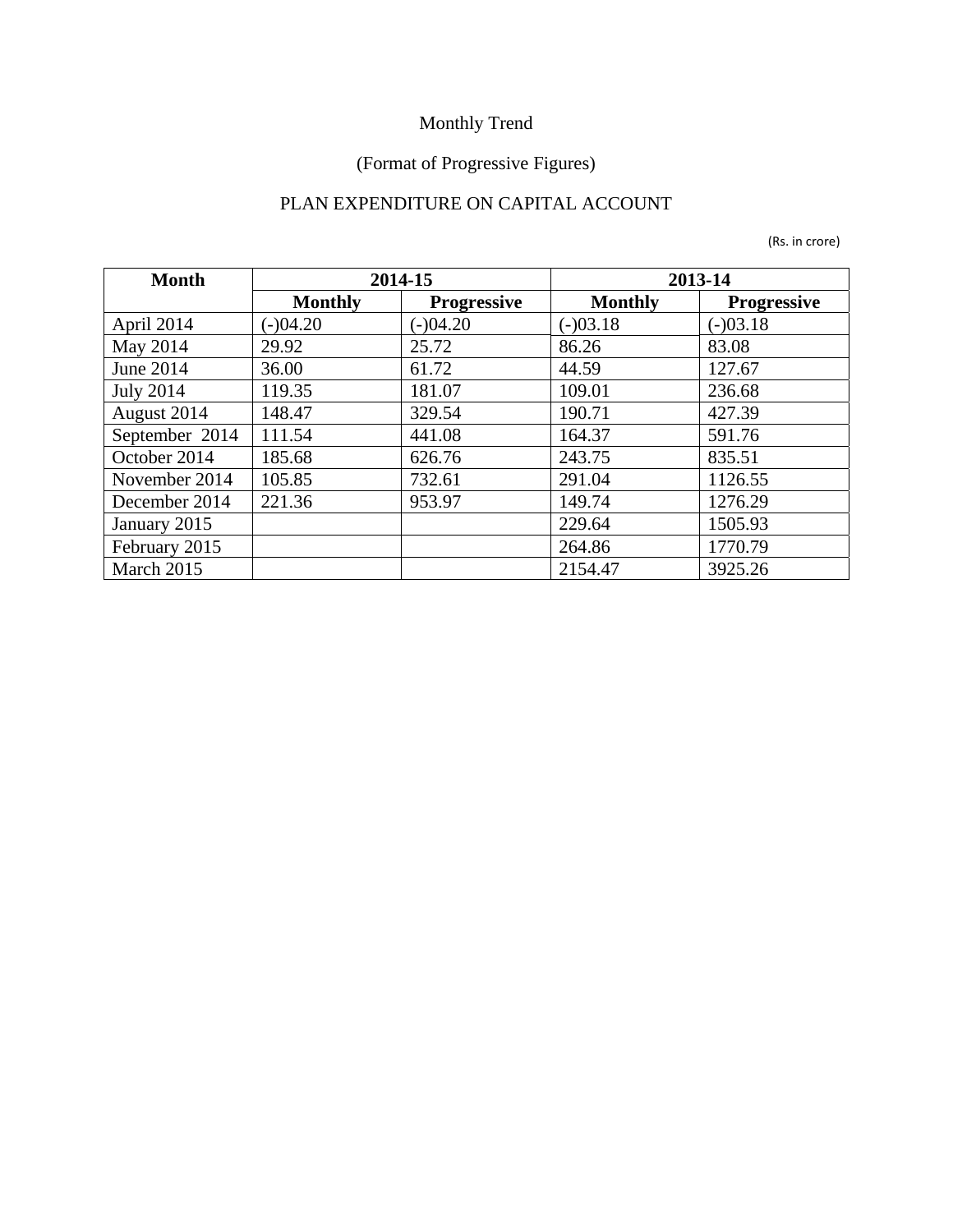## (Format of Progressive Figures)

### PLAN EXPENDITURE ON CAPITAL ACCOUNT

| <b>Month</b>     |                | 2014-15            | 2013-14        |                    |
|------------------|----------------|--------------------|----------------|--------------------|
|                  | <b>Monthly</b> | <b>Progressive</b> | <b>Monthly</b> | <b>Progressive</b> |
| April 2014       | $(-)04.20$     | $(-)04.20$         | $(-)03.18$     | $(-)03.18$         |
| May 2014         | 29.92          | 25.72              | 86.26          | 83.08              |
| June 2014        | 36.00          | 61.72              | 44.59          | 127.67             |
| <b>July 2014</b> | 119.35         | 181.07             | 109.01         | 236.68             |
| August 2014      | 148.47         | 329.54             | 190.71         | 427.39             |
| September 2014   | 111.54         | 441.08             | 164.37         | 591.76             |
| October 2014     | 185.68         | 626.76             | 243.75         | 835.51             |
| November 2014    | 105.85         | 732.61             | 291.04         | 1126.55            |
| December 2014    | 221.36         | 953.97             | 149.74         | 1276.29            |
| January 2015     |                |                    | 229.64         | 1505.93            |
| February 2015    |                |                    | 264.86         | 1770.79            |
| March 2015       |                |                    | 2154.47        | 3925.26            |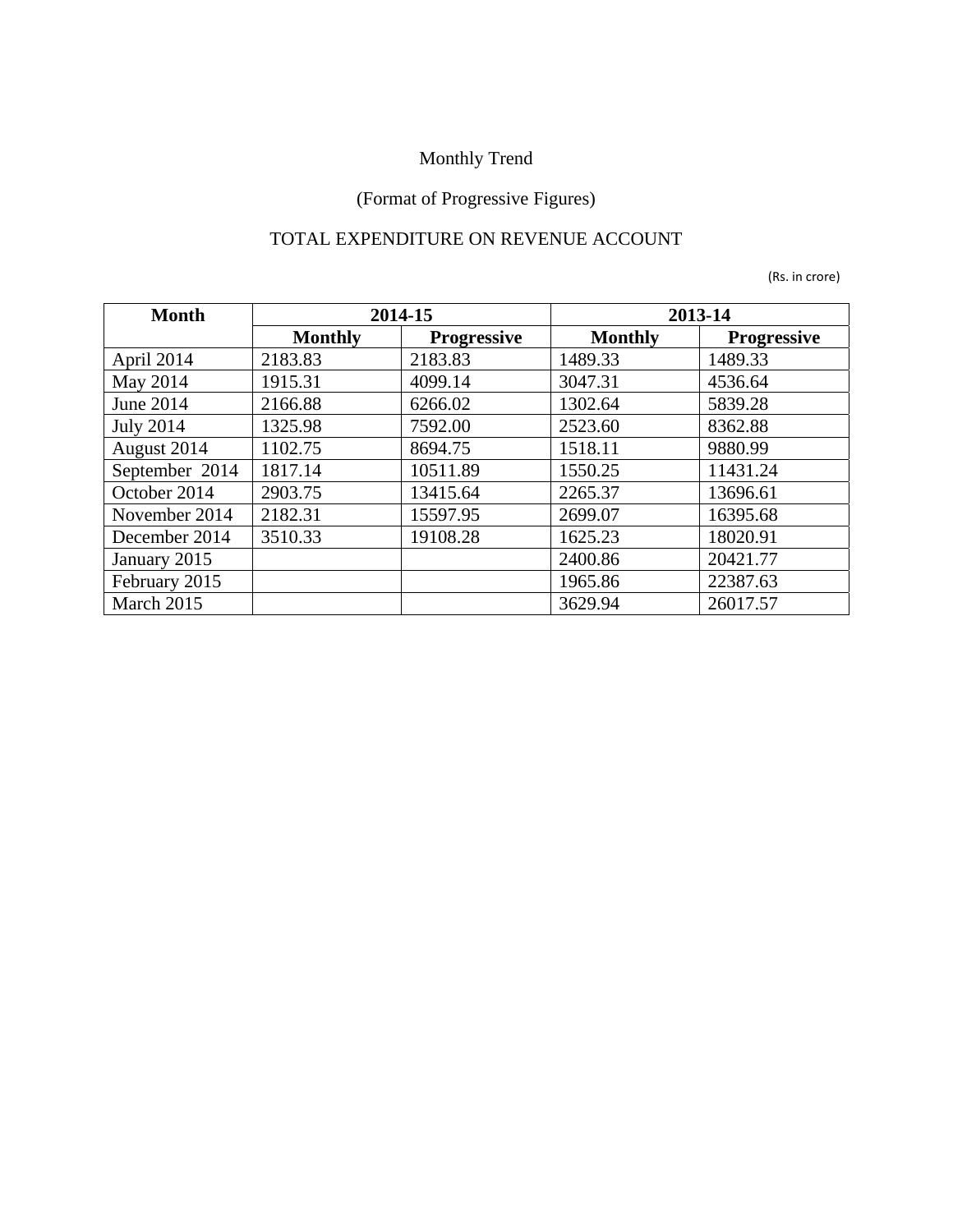## (Format of Progressive Figures)

### TOTAL EXPENDITURE ON REVENUE ACCOUNT

| <b>Month</b>     |                | 2014-15            |                | 2013-14            |
|------------------|----------------|--------------------|----------------|--------------------|
|                  | <b>Monthly</b> | <b>Progressive</b> | <b>Monthly</b> | <b>Progressive</b> |
| April 2014       | 2183.83        | 2183.83            | 1489.33        | 1489.33            |
| May 2014         | 1915.31        | 4099.14            | 3047.31        | 4536.64            |
| June 2014        | 2166.88        | 6266.02            | 1302.64        | 5839.28            |
| <b>July 2014</b> | 1325.98        | 7592.00            | 2523.60        | 8362.88            |
| August 2014      | 1102.75        | 8694.75            | 1518.11        | 9880.99            |
| September 2014   | 1817.14        | 10511.89           | 1550.25        | 11431.24           |
| October 2014     | 2903.75        | 13415.64           | 2265.37        | 13696.61           |
| November 2014    | 2182.31        | 15597.95           | 2699.07        | 16395.68           |
| December 2014    | 3510.33        | 19108.28           | 1625.23        | 18020.91           |
| January 2015     |                |                    | 2400.86        | 20421.77           |
| February 2015    |                |                    | 1965.86        | 22387.63           |
| March 2015       |                |                    | 3629.94        | 26017.57           |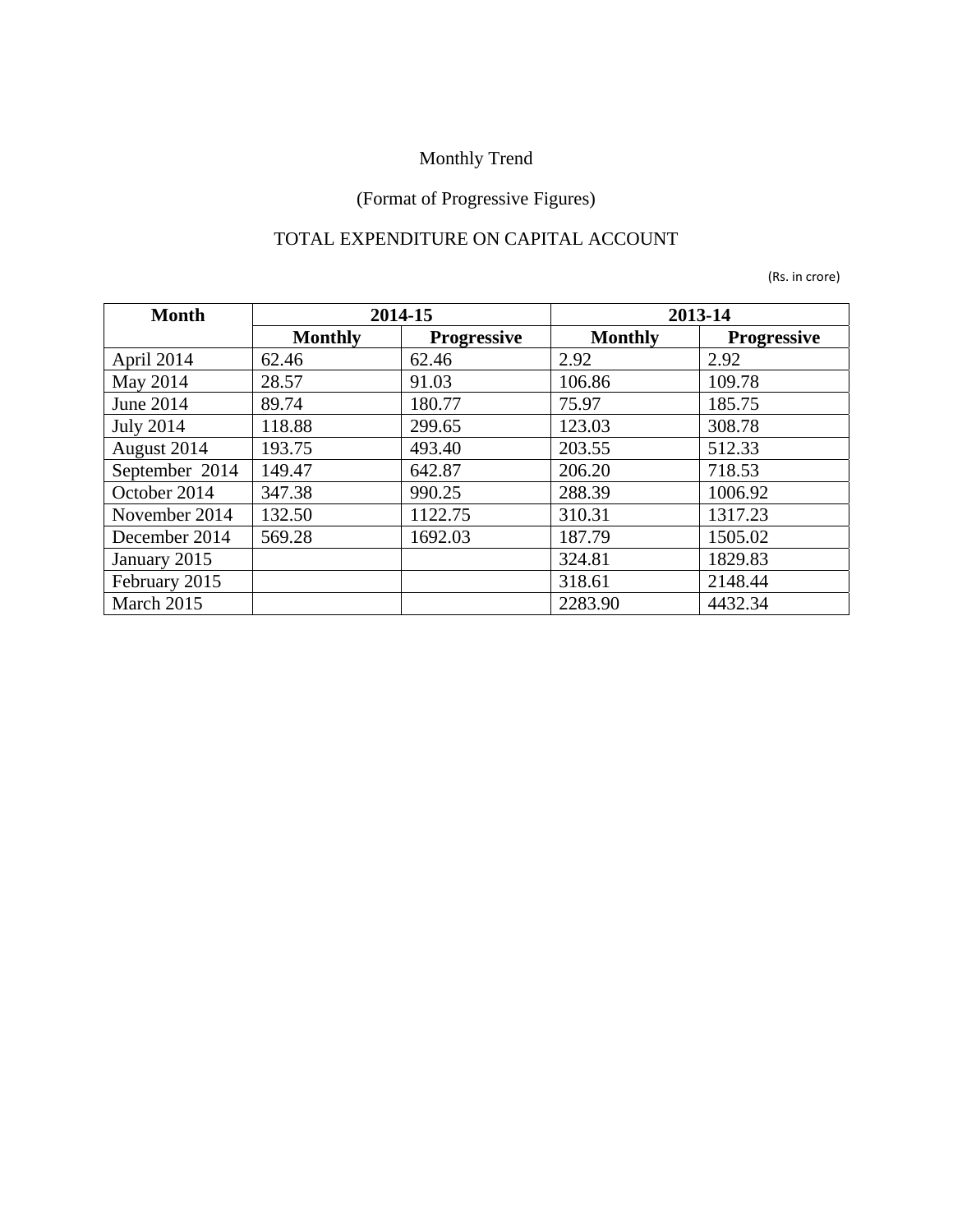## (Format of Progressive Figures)

### TOTAL EXPENDITURE ON CAPITAL ACCOUNT

| <b>Month</b>     | 2014-15        |                    | 2013-14        |                    |  |
|------------------|----------------|--------------------|----------------|--------------------|--|
|                  | <b>Monthly</b> | <b>Progressive</b> | <b>Monthly</b> | <b>Progressive</b> |  |
| April 2014       | 62.46          | 62.46              | 2.92           | 2.92               |  |
| May 2014         | 28.57          | 91.03              | 106.86         | 109.78             |  |
| June 2014        | 89.74          | 180.77             | 75.97          | 185.75             |  |
| <b>July 2014</b> | 118.88         | 299.65             | 123.03         | 308.78             |  |
| August 2014      | 193.75         | 493.40             | 203.55         | 512.33             |  |
| September 2014   | 149.47         | 642.87             | 206.20         | 718.53             |  |
| October 2014     | 347.38         | 990.25             | 288.39         | 1006.92            |  |
| November 2014    | 132.50         | 1122.75            | 310.31         | 1317.23            |  |
| December 2014    | 569.28         | 1692.03            | 187.79         | 1505.02            |  |
| January 2015     |                |                    | 324.81         | 1829.83            |  |
| February 2015    |                |                    | 318.61         | 2148.44            |  |
| March 2015       |                |                    | 2283.90        | 4432.34            |  |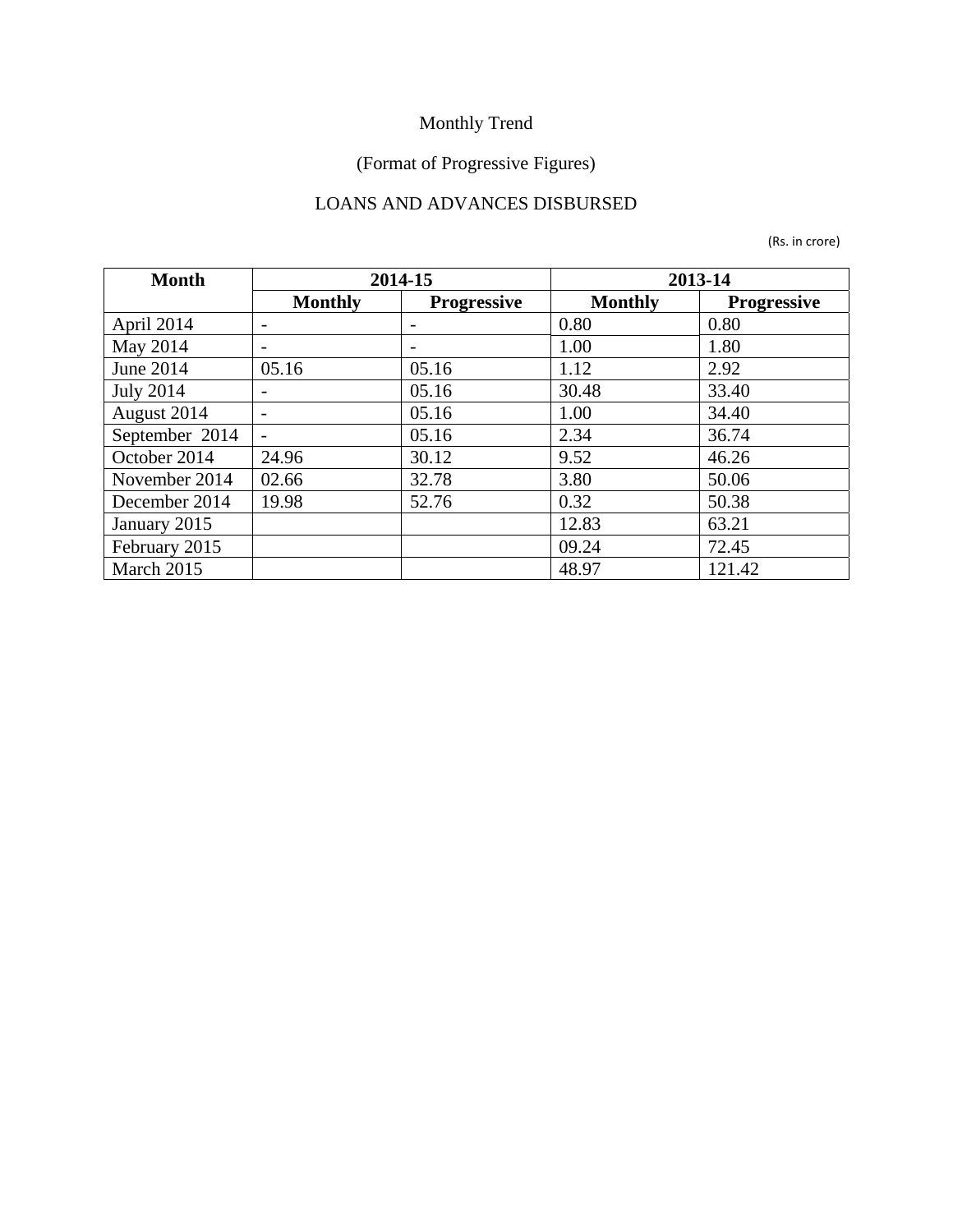## (Format of Progressive Figures)

### LOANS AND ADVANCES DISBURSED

| <b>Month</b>     | 2014-15                  |                    | 2013-14        |                    |  |
|------------------|--------------------------|--------------------|----------------|--------------------|--|
|                  | <b>Monthly</b>           | <b>Progressive</b> | <b>Monthly</b> | <b>Progressive</b> |  |
| April 2014       | $\qquad \qquad$          |                    | 0.80           | 0.80               |  |
| May 2014         | $\overline{\phantom{a}}$ |                    | 1.00           | 1.80               |  |
| June 2014        | 05.16                    | 05.16              | 1.12           | 2.92               |  |
| <b>July 2014</b> |                          | 05.16              | 30.48          | 33.40              |  |
| August 2014      | $\overline{\phantom{a}}$ | 05.16              | 1.00           | 34.40              |  |
| September 2014   | $\overline{\phantom{0}}$ | 05.16              | 2.34           | 36.74              |  |
| October 2014     | 24.96                    | 30.12              | 9.52           | 46.26              |  |
| November 2014    | 02.66                    | 32.78              | 3.80           | 50.06              |  |
| December 2014    | 19.98                    | 52.76              | 0.32           | 50.38              |  |
| January 2015     |                          |                    | 12.83          | 63.21              |  |
| February 2015    |                          |                    | 09.24          | 72.45              |  |
| March 2015       |                          |                    | 48.97          | 121.42             |  |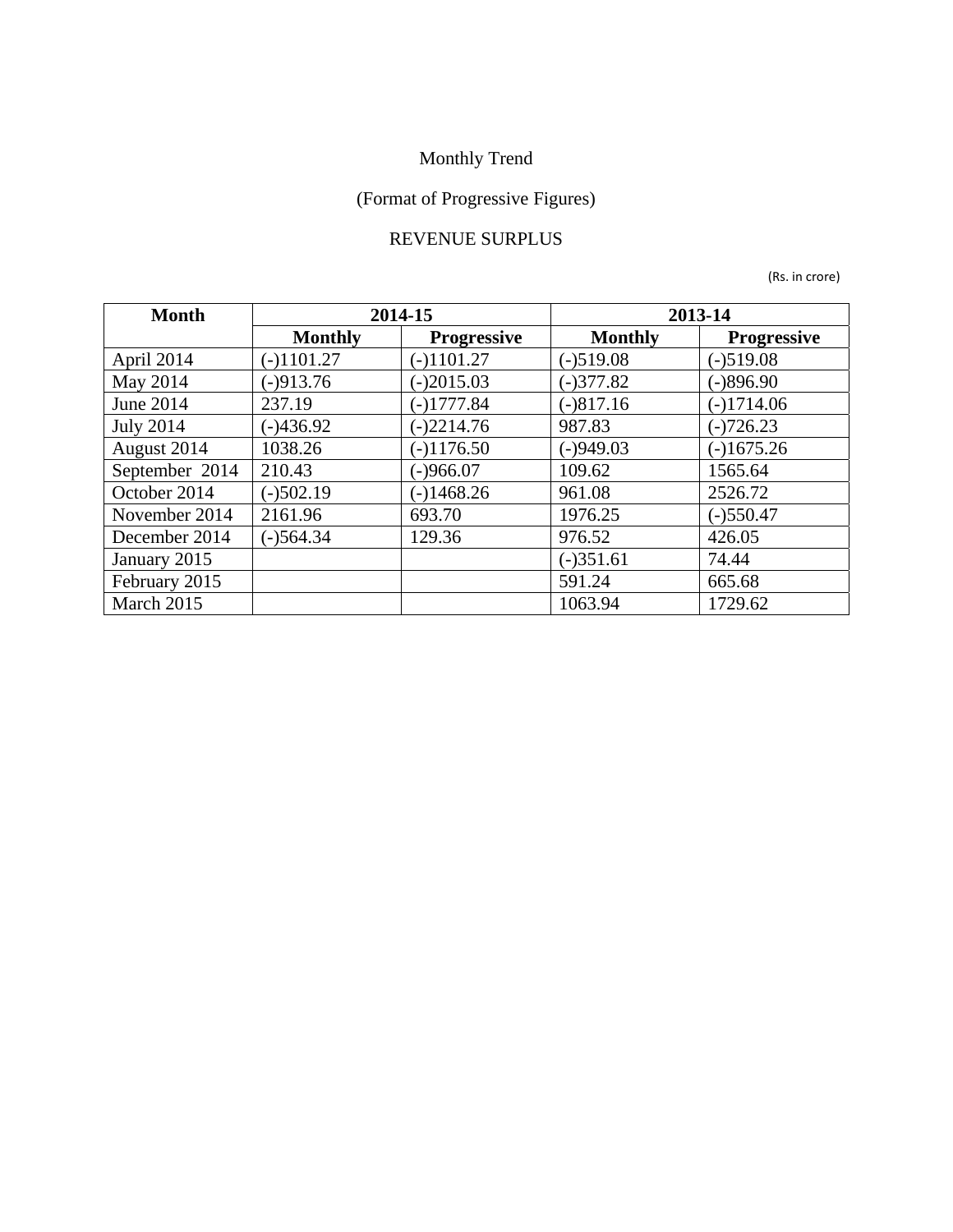## (Format of Progressive Figures)

#### REVENUE SURPLUS

| <b>Month</b>     | 2014-15        |                    | 2013-14        |                    |  |
|------------------|----------------|--------------------|----------------|--------------------|--|
|                  | <b>Monthly</b> | <b>Progressive</b> | <b>Monthly</b> | <b>Progressive</b> |  |
| April 2014       | $(-)1101.27$   | $(-)1101.27$       | $(-)519.08$    | $(-)519.08$        |  |
| May 2014         | $(-)913.76$    | $(-)2015.03$       | $(-)377.82$    | $(-)896.90$        |  |
| June 2014        | 237.19         | $(-)1777.84$       | $(-)817.16$    | $(-)1714.06$       |  |
| <b>July 2014</b> | $(-)436.92$    | $(-)2214.76$       | 987.83         | $(-)726.23$        |  |
| August 2014      | 1038.26        | $(-)1176.50$       | $(-)949.03$    | $(-)1675.26$       |  |
| September 2014   | 210.43         | $(-)966.07$        | 109.62         | 1565.64            |  |
| October 2014     | $(-)502.19$    | $(-)1468.26$       | 961.08         | 2526.72            |  |
| November 2014    | 2161.96        | 693.70             | 1976.25        | $(-)550.47$        |  |
| December 2014    | $(-)564.34$    | 129.36             | 976.52         | 426.05             |  |
| January 2015     |                |                    | $(-)351.61$    | 74.44              |  |
| February 2015    |                |                    | 591.24         | 665.68             |  |
| March 2015       |                |                    | 1063.94        | 1729.62            |  |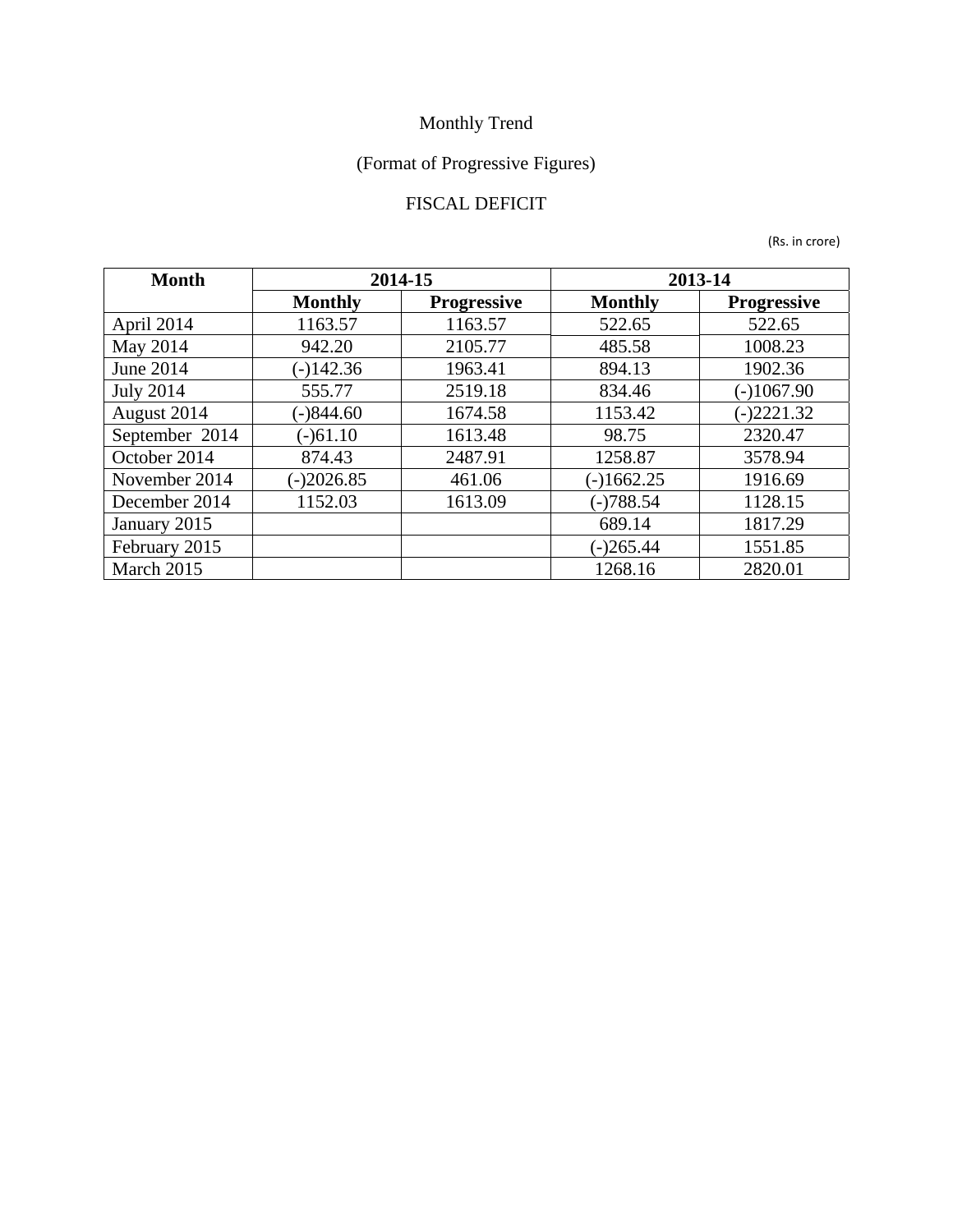## (Format of Progressive Figures)

### FISCAL DEFICIT

| <b>Month</b>     | 2014-15        |                    | 2013-14        |                    |  |
|------------------|----------------|--------------------|----------------|--------------------|--|
|                  | <b>Monthly</b> | <b>Progressive</b> | <b>Monthly</b> | <b>Progressive</b> |  |
| April 2014       | 1163.57        | 1163.57            | 522.65         | 522.65             |  |
| May 2014         | 942.20         | 2105.77            | 485.58         | 1008.23            |  |
| <b>June 2014</b> | $(-)142.36$    | 1963.41            | 894.13         | 1902.36            |  |
| <b>July 2014</b> | 555.77         | 2519.18            | 834.46         | $(-)1067.90$       |  |
| August 2014      | $(-)844.60$    | 1674.58            | 1153.42        | $(-)2221.32$       |  |
| September 2014   | $(-)61.10$     | 1613.48            | 98.75          | 2320.47            |  |
| October 2014     | 874.43         | 2487.91            | 1258.87        | 3578.94            |  |
| November 2014    | $(-)2026.85$   | 461.06             | $(-)1662.25$   | 1916.69            |  |
| December 2014    | 1152.03        | 1613.09            | $(-)788.54$    | 1128.15            |  |
| January 2015     |                |                    | 689.14         | 1817.29            |  |
| February 2015    |                |                    | $(-)265.44$    | 1551.85            |  |
| March 2015       |                |                    | 1268.16        | 2820.01            |  |